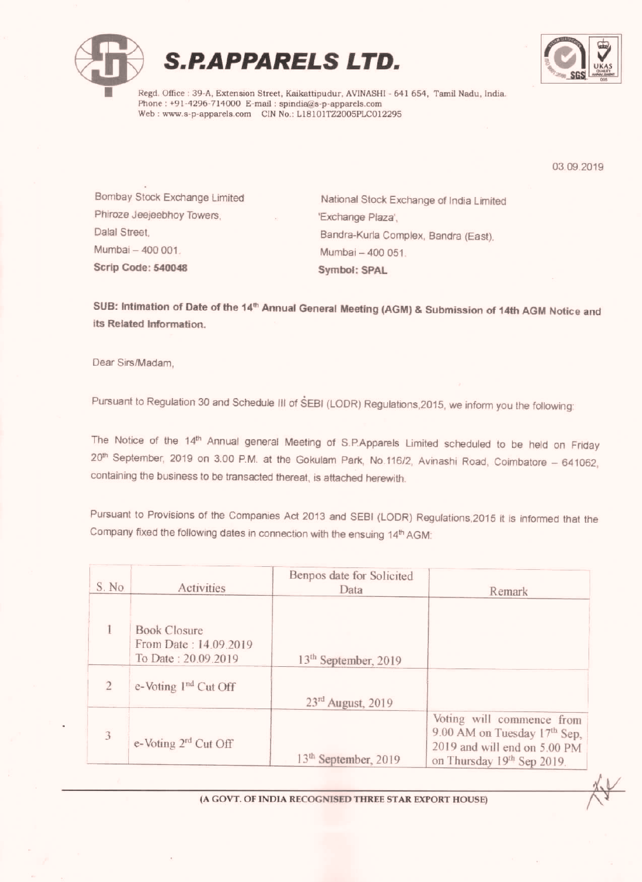

# S.P.APPARELS LTD.



Regd. Office : 39-A, Extension Street, Kaikattipudur, AVINASHI - 641 654, Tamil Nadu, India. Phone:  $+91-4296-714000$  E-mail: spindia@s-p-apparels.com Web: www.s-p-apparels.com CIN No.: L18101TZ2005PLC012295

03 09 2019

Phiroze Jeejeebhoy Towers. Mumbai - 400 001 400 001. Mumbai - 400 051 Scrip Code: 540048 Symbol: SPAL

Bombay Stock Exchange Limited National Stock Exchange of India Limited Exchange Plaza'. Dalal Street, **Bandra-Kuria Complex. Bandra (East)**, Bandra (East),

SUB: Intimation of Date of the 14<sup>th</sup> Annual General Meeting (AGM) & Submission of 14th AGM Notice and its Related Information.

Dear Sirs/Madam.

Pursuant to Regulation 30 and Schedule III of SEBI (LODR) Regulations, 2015, we inform you the following:

The Notice of the 14<sup>th</sup> Annual general Meeting of S.P.Apparels Limited scheduled to be held on Friday 20<sup>m</sup> September, 2019 on 3.00 P.M. at the Gokulam Park, No.116/2, Avinashi Road, Coimbatore – 641062, containing the business to be transacted thereat, is attached herewith.

Pursuant to Provisions of the Companies Act 2013 and SEBI (LODR) Regulations,2015 it is informed that the Company fixed the following dates in connection with the ensuing 14<sup>th</sup> AGM:

| S. No.         | Activities                                                          | Benpos date for Solicited<br>Data | Remark                                                                                                                  |
|----------------|---------------------------------------------------------------------|-----------------------------------|-------------------------------------------------------------------------------------------------------------------------|
|                | <b>Book Closure</b><br>From Date: 14.09.2019<br>To Date: 20.09.2019 | 13 <sup>th</sup> September, 2019  |                                                                                                                         |
| $\overline{2}$ | e-Voting 1 <sup>nd</sup> Cut Off                                    | 23 <sup>rd</sup> August, 2019     |                                                                                                                         |
| 3              | e-Voting 2 <sup>rd</sup> Cut Off                                    | 13 <sup>th</sup> September, 2019  | Voting will commence from<br>9.00 AM on Tuesday 17th Sep,<br>2019 and will end on 5.00 PM<br>on Thursday 19th Sep 2019. |

(A GOVT. OF INDIA RECOGNISED THREE STAR EXPORT HOUSE)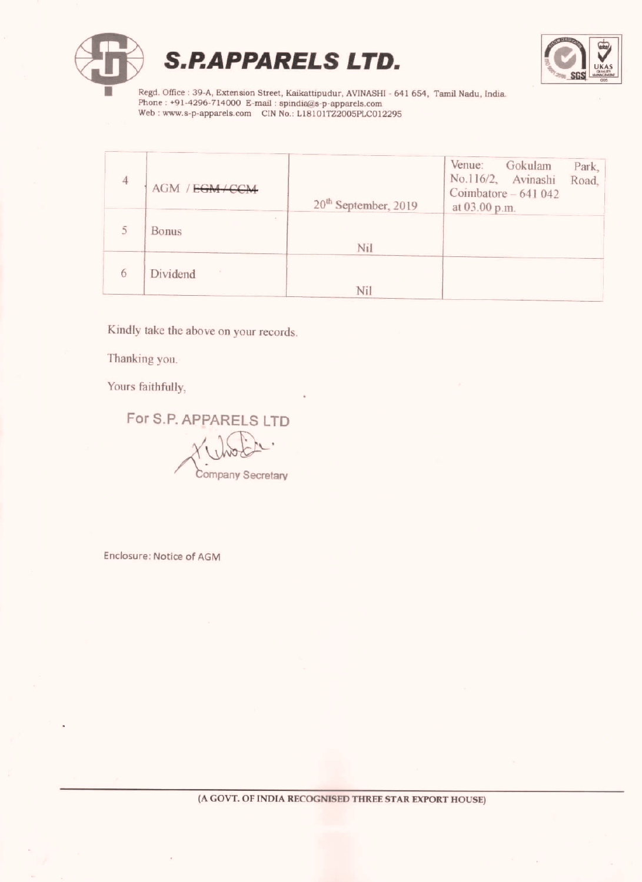



Regd. Office: 39-A, Extension Street, Kaikattipudur, AVINASHI - 641 654, Tamil Nadu, India. Phone: +91-4296-714000 E-mail: spindia@s-p-apparels.com<br>Web: www.s-p-apparels.com CIN No.: L18101TZ2005PLC012295

| 4 | AGM / EGM / CCM | 20 <sup>th</sup> September, 2019 | Venue:<br>Gokulam<br>Park,<br>No.116/2, Avinashi<br>Road,<br>Coimbatore - 641 042<br>at 03.00 p.m. |
|---|-----------------|----------------------------------|----------------------------------------------------------------------------------------------------|
|   | Bonus           | Nil                              |                                                                                                    |
| 6 | Dividend        | Nil                              |                                                                                                    |

Kindly lake the above on your records.

Thanking you.

Yours faithfully,

For S.P. APPARELS LTD

Company Secretary

Enclosure: Notice of AGM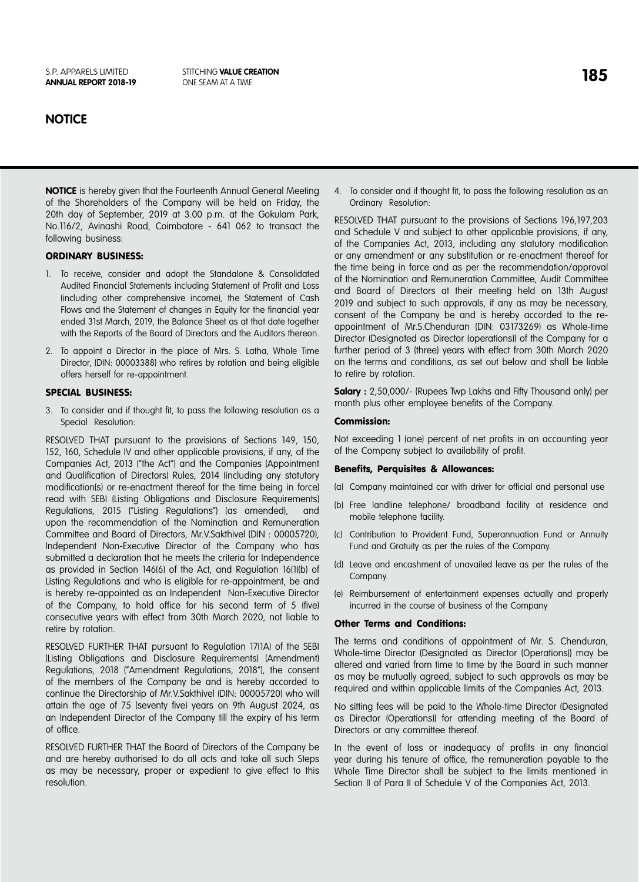### **NOTICE**

**NOTICE** is hereby given that the Fourteenth Annual General Meeting of the Shareholders of the Company will be held on Friday, the 20th day of September, 2019 at 3.00 p.m. at the Gokulam Park, No.116/2, Avinashi Road, Coimbatore - 641 062 to transact the following business:

### ORDINARY BUSINESS:

- 1. To receive, consider and adopt the Standalone & Consolidated Audited Financial Statements including Statement of Profit and Loss (including other comprehensive income), the Statement of Cash Flows and the Statement of changes in Equity for the financial year ended 31st March, 2019, the Balance Sheet as at that date together with the Reports of the Board of Directors and the Auditors thereon.
- 2. To appoint a Director in the place of Mrs. S. Latha, Whole Time Director, (DIN: 00003388) who retires by rotation and being eligible offers herself for re-appointment.

### SPECIAL BUSINESS:

3. To consider and if thought fit, to pass the following resolution as a Special Resolution:

RESOLVED THAT pursuant to the provisions of Sections 149, 150, 152, 160, Schedule IV and other applicable provisions, if any, of the Companies Act, 2013 ("the Act") and the Companies (Appointment and Qualification of Directors) Rules, 2014 (including any statutory modification(s) or re-enactment thereof for the time being in force) read with SEBI (Listing Obligations and Disclosure Requirements) Regulations, 2015 ("Listing Regulations") (as amended), and upon the recommendation of the Nomination and Remuneration Committee and Board of Directors, Mr.V.Sakthivel (DIN : 00005720), Independent Non-Executive Director of the Company who has submitted a declaration that he meets the criteria for Independence as provided in Section 146(6) of the Act, and Regulation 16(1)(b) of Listing Regulations and who is eligible for re-appointment, be and is hereby re-appointed as an Independent Non-Executive Director of the Company, to hold office for his second term of 5 (five) consecutive years with effect from 30th March 2020, not liable to retire by rotation.

RESOLVED FURTHER THAT pursuant to Regulation 17(1A) of the SEBI (Listing Obligations and Disclosure Requirements) (Amendment) Regulations, 2018 ("Amendment Regulations, 2018"), the consent of the members of the Company be and is hereby accorded to continue the Directorship of Mr.V.Sakthivel (DIN: 00005720) who will attain the age of 75 (seventy five) years on 9th August 2024, as an Independent Director of the Company till the expiry of his term of office.

RESOLVED FURTHER THAT the Board of Directors of the Company be and are hereby authorised to do all acts and take all such Steps as may be necessary, proper or expedient to give effect to this resolution.

4. To consider and if thought fit, to pass the following resolution as an Ordinary Resolution:

RESOLVED THAT pursuant to the provisions of Sections 196,197,203 and Schedule V and subject to other applicable provisions, if any, of the Companies Act, 2013, including any statutory modification or any amendment or any substitution or re-enactment thereof for the time being in force and as per the recommendation/approval of the Nomination and Remuneration Committee, Audit Committee and Board of Directors at their meeting held on 13th August 2019 and subject to such approvals, if any as may be necessary, consent of the Company be and is hereby accorded to the reappointment of Mr.S.Chenduran (DIN: 03173269) as Whole-time Director (Designated as Director (operations)) of the Company for a further period of 3 (three) years with effect from 30th March 2020 on the terms and conditions, as set out below and shall be liable to retire by rotation.

**Salary :** 2,50,000/- (Rupees Twp Lakhs and Fifty Thousand only) per month plus other employee benefits of the Company.

### Commission:

Not exceeding 1 (one) percent of net profits in an accounting year of the Company subject to availability of profit.

### Benefits, Perquisites & Allowances:

- (a) Company maintained car with driver for official and personal use
- (b) Free landline telephone/ broadband facility at residence and mobile telephone facility.
- (c) Contribution to Provident Fund, Superannuation Fund or Annuity Fund and Gratuity as per the rules of the Company.
- (d) Leave and encashment of unavailed leave as per the rules of the Company.
- (e) Reimbursement of entertainment expenses actually and properly incurred in the course of business of the Company

### Other Terms and Conditions:

The terms and conditions of appointment of Mr. S. Chenduran, Whole-time Director (Designated as Director (Operations)) may be altered and varied from time to time by the Board in such manner as may be mutually agreed, subject to such approvals as may be required and within applicable limits of the Companies Act, 2013.

No sitting fees will be paid to the Whole-time Director (Designated as Director (Operations)) for attending meeting of the Board of Directors or any committee thereof.

In the event of loss or inadequacy of profits in any financial year during his tenure of office, the remuneration payable to the Whole Time Director shall be subject to the limits mentioned in Section II of Para II of Schedule V of the Companies Act, 2013.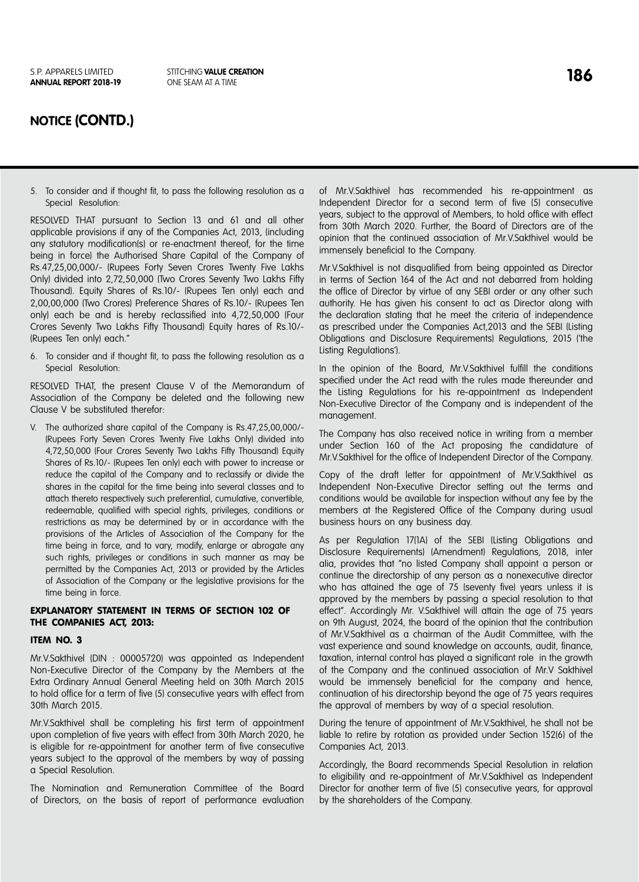### **NOTICE (CONTD.)**

5. To consider and if thought fit, to pass the following resolution as a Special Resolution:

RESOLVED THAT pursuant to Section 13 and 61 and all other applicable provisions if any of the Companies Act, 2013, (including any statutory modification(s) or re-enactment thereof, for the time being in force) the Authorised Share Capital of the Company of Rs.47,25,00,000/- (Rupees Forty Seven Crores Twenty Five Lakhs Only) divided into 2,72,50,000 (Two Crores Seventy Two Lakhs Fifty Thousand). Equity Shares of Rs.10/- (Rupees Ten only) each and 2,00,00,000 (Two Crores) Preference Shares of Rs.10/- (Rupees Ten only) each be and is hereby reclassified into 4,72,50,000 (Four Crores Seventy Two Lakhs Fifty Thousand) Equity hares of Rs.10/- (Rupees Ten only) each."

6. To consider and if thought fit, to pass the following resolution as a Special Resolution:

RESOLVED THAT, the present Clause V of the Memorandum of Association of the Company be deleted and the following new Clause V be substituted therefor:

V. The authorized share capital of the Company is Rs.47,25,00,000/- (Rupees Forty Seven Crores Twenty Five Lakhs Only) divided into 4,72,50,000 (Four Crores Seventy Two Lakhs Fifty Thousand) Equity Shares of Rs.10/- (Rupees Ten only) each with power to increase or reduce the capital of the Company and to reclassify or divide the shares in the capital for the time being into several classes and to attach thereto respectively such preferential, cumulative, convertible, redeemable, qualified with special rights, privileges, conditions or restrictions as may be determined by or in accordance with the provisions of the Articles of Association of the Company for the time being in force, and to vary, modify, enlarge or abrogate any such rights, privileges or conditions in such manner as may be permitted by the Companies Act, 2013 or provided by the Articles of Association of the Company or the legislative provisions for the time being in force.

### EXPLANATORY STATEMENT IN TERMS OF SECTION 102 OF THE COMPANIES ACT, 2013:

### ITEM NO. 3

Mr.V.Sakthivel (DIN : 00005720) was appointed as Independent Non-Executive Director of the Company by the Members at the Extra Ordinary Annual General Meeting held on 30th March 2015 to hold office for a term of five (5) consecutive years with effect from 30th March 2015.

Mr.V.Sakthivel shall be completing his first term of appointment upon completion of five years with effect from 30th March 2020, he is eligible for re-appointment for another term of five consecutive years subject to the approval of the members by way of passing a Special Resolution.

The Nomination and Remuneration Committee of the Board of Directors, on the basis of report of performance evaluation of Mr.V.Sakthivel has recommended his re-appointment as Independent Director for a second term of five (5) consecutive years, subject to the approval of Members, to hold office with effect from 30th March 2020. Further, the Board of Directors are of the opinion that the continued association of Mr.V.Sakthivel would be immensely beneficial to the Company.

Mr.V.Sakthivel is not disqualified from being appointed as Director in terms of Section 164 of the Act and not debarred from holding the office of Director by virtue of any SEBI order or any other such authority. He has given his consent to act as Director along with the declaration stating that he meet the criteria of independence as prescribed under the Companies Act,2013 and the SEBI (Listing Obligations and Disclosure Requirements) Regulations, 2015 ('the Listing Regulations').

In the opinion of the Board, Mr.V.Sakthivel fulfill the conditions specified under the Act read with the rules made thereunder and the Listing Regulations for his re-appointment as Independent Non-Executive Director of the Company and is independent of the management.

The Company has also received notice in writing from a member under Section 160 of the Act proposing the candidature of Mr.V.Sakthivel for the office of Independent Director of the Company.

Copy of the draft letter for appointment of Mr.V.Sakthivel as Independent Non-Executive Director setting out the terms and conditions would be available for inspection without any fee by the members at the Registered Office of the Company during usual business hours on any business day.

As per Regulation 17(1A) of the SEBI (Listing Obligations and Disclosure Requirements) (Amendment) Regulations, 2018, inter alia, provides that "no listed Company shall appoint a person or continue the directorship of any person as a nonexecutive director who has attained the age of 75 (seventy five) years unless it is approved by the members by passing a special resolution to that effect". Accordingly Mr. V.Sakthivel will attain the age of 75 years on 9th August, 2024, the board of the opinion that the contribution of Mr.V.Sakthivel as a chairman of the Audit Committee, with the vast experience and sound knowledge on accounts, audit, finance, taxation, internal control has played a significant role in the growth of the Company and the continued association of Mr.V Sakthivel would be immensely beneficial for the company and hence, continuation of his directorship beyond the age of 75 years requires the approval of members by way of a special resolution.

During the tenure of appointment of Mr.V.Sakthivel, he shall not be liable to retire by rotation as provided under Section 152(6) of the Companies Act, 2013.

Accordingly, the Board recommends Special Resolution in relation to eligibility and re-appointment of Mr.V.Sakthivel as Independent Director for another term of five (5) consecutive years, for approval by the shareholders of the Company.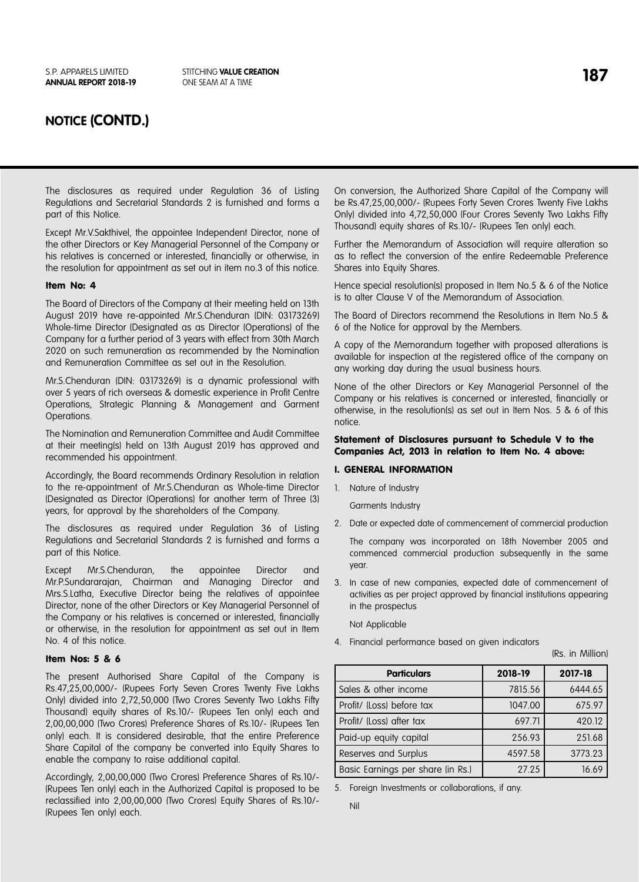## **NOTICE (CONTD.)**

The disclosures as required under Regulation 36 of Listing Regulations and Secretarial Standards 2 is furnished and forms a part of this Notice.

Except Mr.V.Sakthivel, the appointee Independent Director, none of the other Directors or Key Managerial Personnel of the Company or his relatives is concerned or interested, financially or otherwise, in the resolution for appointment as set out in item no.3 of this notice.

### Item No: 4

The Board of Directors of the Company at their meeting held on 13th August 2019 have re-appointed Mr.S.Chenduran (DIN: 03173269) Whole-time Director (Designated as as Director (Operations) of the Company for a further period of 3 years with effect from 30th March 2020 on such remuneration as recommended by the Nomination and Remuneration Committee as set out in the Resolution.

Mr.S.Chenduran (DIN: 03173269) is a dynamic professional with over 5 years of rich overseas & domestic experience in Profit Centre Operations, Strategic Planning & Management and Garment Operations.

The Nomination and Remuneration Committee and Audit Committee at their meeting(s) held on 13th August 2019 has approved and recommended his appointment.

Accordingly, the Board recommends Ordinary Resolution in relation to the re-appointment of Mr.S.Chenduran as Whole-time Director (Designated as Director (Operations) for another term of Three (3) years, for approval by the shareholders of the Company.

The disclosures as required under Regulation 36 of Listing Regulations and Secretarial Standards 2 is furnished and forms a part of this Notice.

Except Mr.S.Chenduran, the appointee Director and Mr.P.Sundararajan, Chairman and Managing Director and Mrs.S.Latha, Executive Director being the relatives of appointee Director, none of the other Directors or Key Managerial Personnel of the Company or his relatives is concerned or interested, financially or otherwise, in the resolution for appointment as set out in Item No. 4 of this notice.

### Item Nos: 5 & 6

The present Authorised Share Capital of the Company is Rs.47,25,00,000/- (Rupees Forty Seven Crores Twenty Five Lakhs Only) divided into 2,72,50,000 (Two Crores Seventy Two Lakhs Fifty Thousand) equity shares of Rs.10/- (Rupees Ten only) each and 2,00,00,000 (Two Crores) Preference Shares of Rs.10/- (Rupees Ten only) each. It is considered desirable, that the entire Preference Share Capital of the company be converted into Equity Shares to enable the company to raise additional capital.

Accordingly, 2,00,00,000 (Two Crores) Preference Shares of Rs.10/- (Rupees Ten only) each in the Authorized Capital is proposed to be reclassified into 2,00,00,000 (Two Crores) Equity Shares of Rs.10/- (Rupees Ten only) each.

On conversion, the Authorized Share Capital of the Company will be Rs.47,25,00,000/- (Rupees Forty Seven Crores Twenty Five Lakhs Only) divided into 4,72,50,000 (Four Crores Seventy Two Lakhs Fifty Thousand) equity shares of Rs.10/- (Rupees Ten only) each.

Further the Memorandum of Association will require alteration so as to reflect the conversion of the entire Redeemable Preference Shares into Equity Shares.

Hence special resolution(s) proposed in Item No.5 & 6 of the Notice is to alter Clause V of the Memorandum of Association.

The Board of Directors recommend the Resolutions in Item No.5 & 6 of the Notice for approval by the Members.

A copy of the Memorandum together with proposed alterations is available for inspection at the registered office of the company on any working day during the usual business hours.

None of the other Directors or Key Managerial Personnel of the Company or his relatives is concerned or interested, financially or otherwise, in the resolution(s) as set out in Item Nos. 5 & 6 of this notice.

### Statement of Disclosures pursuant to Schedule V to the Companies Act, 2013 in relation to Item No. 4 above:

### I. GENERAL INFORMATION

1. Nature of Industry

Garments Industry

2. Date or expected date of commencement of commercial production

The company was incorporated on 18th November 2005 and commenced commercial production subsequently in the same year.

3. In case of new companies, expected date of commencement of activities as per project approved by financial institutions appearing in the prospectus

Not Applicable

4. Financial performance based on given indicators

(Rs. in Million)

| <b>Particulars</b>                | 2018-19 | 2017-18 |  |
|-----------------------------------|---------|---------|--|
| Sales & other income              | 7815.56 | 6444.65 |  |
| Profit/ (Loss) before tax         | 1047.00 | 675.97  |  |
| Profit/ (Loss) after tax          | 697.71  | 420.12  |  |
| Paid-up equity capital            | 256.93  | 251.68  |  |
| Reserves and Surplus              | 4597.58 | 3773.23 |  |
| Basic Earnings per share (in Rs.) | 27.25   | 16.69   |  |

5. Foreign Investments or collaborations, if any.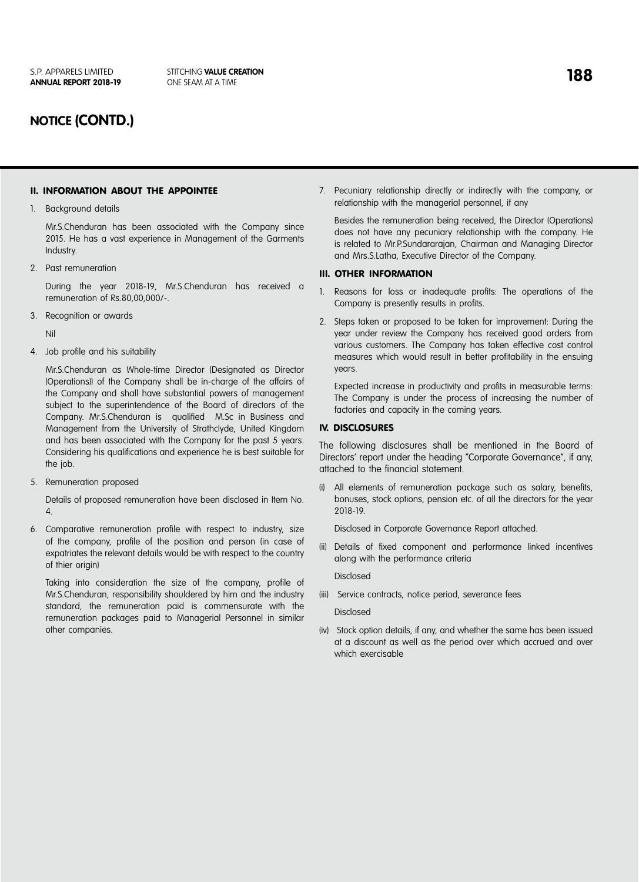## **NOTICE (CONTD.)**

### II. INFORMATION ABOUT THE APPOINTEE

1. Background details

Mr.S.Chenduran has been associated with the Company since 2015. He has a vast experience in Management of the Garments Industry.

2. Past remuneration

During the year 2018-19, Mr.S.Chenduran has received a remuneration of Rs.80,00,000/-.

3. Recognition or awards

Nil

4. Job profile and his suitability

Mr.S.Chenduran as Whole-time Director (Designated as Director (Operations)) of the Company shall be in-charge of the affairs of the Company and shall have substantial powers of management subject to the superintendence of the Board of directors of the Company. Mr.S.Chenduran is qualified M.Sc in Business and Management from the University of Strathclyde, United Kingdom and has been associated with the Company for the past 5 years. Considering his qualifications and experience he is best suitable for the job.

5. Remuneration proposed

Details of proposed remuneration have been disclosed in Item No. 4.

6. Comparative remuneration profile with respect to industry, size of the company, profile of the position and person (in case of expatriates the relevant details would be with respect to the country of thier origin)

Taking into consideration the size of the company, profile of Mr.S.Chenduran, responsibility shouldered by him and the industry standard, the remuneration paid is commensurate with the remuneration packages paid to Managerial Personnel in similar other companies.

7. Pecuniary relationship directly or indirectly with the company, or relationship with the managerial personnel, if any

Besides the remuneration being received, the Director (Operations) does not have any pecuniary relationship with the company. He is related to Mr.P.Sundararajan, Chairman and Managing Director and Mrs.S.Latha, Executive Director of the Company.

### III. OTHER INFORMATION

- 1. Reasons for loss or inadequate profits: The operations of the Company is presently results in profits.
- 2. Steps taken or proposed to be taken for improvement: During the year under review the Company has received good orders from various customers. The Company has taken effective cost control measures which would result in better profitability in the ensuing years.

Expected increase in productivity and profits in measurable terms: The Company is under the process of increasing the number of factories and capacity in the coming years.

### IV. DISCLOSURES

The following disclosures shall be mentioned in the Board of Directors' report under the heading "Corporate Governance", if any, attached to the financial statement.

All elements of remuneration package such as salary, benefits, bonuses, stock options, pension etc. of all the directors for the year 2018-19.

Disclosed in Corporate Governance Report attached.

(ii) Details of fixed component and performance linked incentives along with the performance criteria

Disclosed

(iii) Service contracts, notice period, severance fees

### Disclosed

(iv) Stock option details, if any, and whether the same has been issued at a discount as well as the period over which accrued and over which exercisable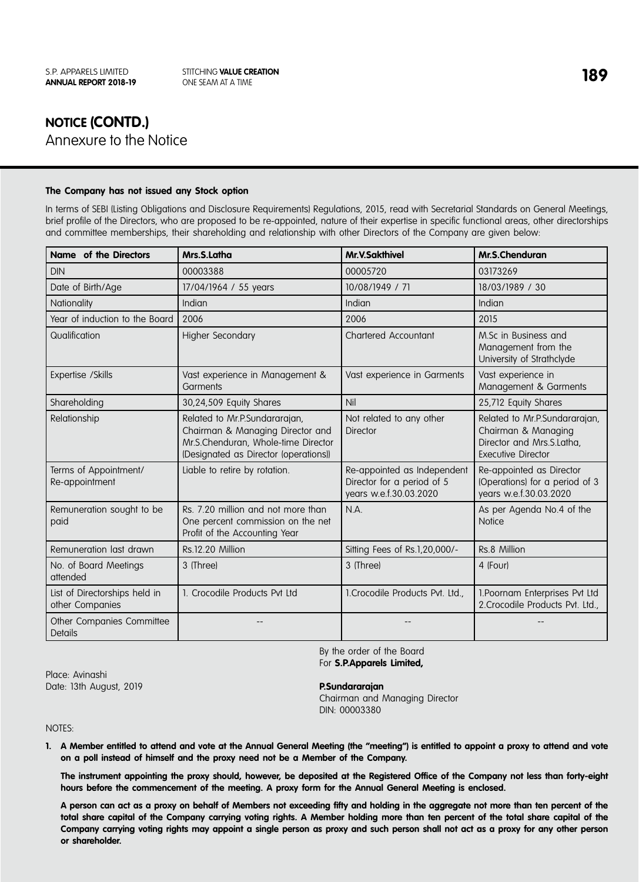# **NOTICE (CONTD.)** Annexure to the Notice

### **The Company has not issued any Stock option**

In terms of SEBI (Listing Obligations and Disclosure Requirements) Regulations, 2015, read with Secretarial Standards on General Meetings, brief profile of the Directors, who are proposed to be re-appointed, nature of their expertise in specific functional areas, other directorships and committee memberships, their shareholding and relationship with other Directors of the Company are given below:

| Name of the Directors                            | Mrs.S.Latha                                                                                                                                       | <b>Mr.V.Sakthivel</b>                                                               | Mr.S.Chenduran                                                                                                 |
|--------------------------------------------------|---------------------------------------------------------------------------------------------------------------------------------------------------|-------------------------------------------------------------------------------------|----------------------------------------------------------------------------------------------------------------|
| <b>DIN</b>                                       | 00003388                                                                                                                                          | 00005720                                                                            | 03173269                                                                                                       |
| Date of Birth/Age                                | 17/04/1964 / 55 years                                                                                                                             | 10/08/1949 / 71                                                                     | 18/03/1989 / 30                                                                                                |
| Nationality                                      | Indian                                                                                                                                            | Indian                                                                              | Indian                                                                                                         |
| Year of induction to the Board                   | 2006                                                                                                                                              | 2006                                                                                | 2015                                                                                                           |
| Qualification                                    | <b>Higher Secondary</b>                                                                                                                           | <b>Chartered Accountant</b>                                                         | M.Sc in Business and<br>Management from the<br>University of Strathclyde                                       |
| Expertise / Skills                               | Vast experience in Management &<br>Garments                                                                                                       | Vast experience in Garments                                                         | Vast experience in<br>Management & Garments                                                                    |
| Shareholding                                     | 30,24,509 Equity Shares                                                                                                                           | Nil                                                                                 | 25,712 Equity Shares                                                                                           |
| Relationship                                     | Related to Mr.P.Sundararajan,<br>Chairman & Managing Director and<br>Mr.S.Chenduran, Whole-time Director<br>(Designated as Director (operations)) | Not related to any other<br><b>Director</b>                                         | Related to Mr.P.Sundararajan,<br>Chairman & Managing<br>Director and Mrs.S.Latha,<br><b>Executive Director</b> |
| Terms of Appointment/<br>Re-appointment          | Liable to retire by rotation.                                                                                                                     | Re-appointed as Independent<br>Director for a period of 5<br>years w.e.f.30.03.2020 | Re-appointed as Director<br>(Operations) for a period of 3<br>years w.e.f.30.03.2020                           |
| Remuneration sought to be<br>paid                | Rs. 7.20 million and not more than<br>One percent commission on the net<br>Profit of the Accounting Year                                          | N.A.                                                                                | As per Agenda No.4 of the<br><b>Notice</b>                                                                     |
| Remuneration last drawn                          | Rs.12.20 Million                                                                                                                                  | Sitting Fees of Rs.1,20,000/-                                                       | Rs.8 Million                                                                                                   |
| No. of Board Meetings<br>attended                | 3 (Three)                                                                                                                                         | 3 (Three)                                                                           | 4 (Four)                                                                                                       |
| List of Directorships held in<br>other Companies | 1. Crocodile Products Pvt Ltd                                                                                                                     | 1. Crocodile Products Pvt. Ltd.,                                                    | 1. Poornam Enterprises Pvt Ltd<br>2. Crocodile Products Pvt. Ltd.,                                             |
| Other Companies Committee<br><b>Details</b>      |                                                                                                                                                   |                                                                                     |                                                                                                                |

By the order of the Board For **S.P.Apparels Limited,** 

Place: Avinashi Date: 13th August, 2019 **P.Sundararajan**

Chairman and Managing Director DIN: 00003380

NOTES:

**1. A Member entitled to attend and vote at the Annual General Meeting (the "meeting") is entitled to appoint a proxy to attend and vote on a poll instead of himself and the proxy need not be a Member of the Company.**

**The instrument appointing the proxy should, however, be deposited at the Registered Office of the Company not less than forty-eight hours before the commencement of the meeting. A proxy form for the Annual General Meeting is enclosed.** 

**A person can act as a proxy on behalf of Members not exceeding fifty and holding in the aggregate not more than ten percent of the total share capital of the Company carrying voting rights. A Member holding more than ten percent of the total share capital of the Company carrying voting rights may appoint a single person as proxy and such person shall not act as a proxy for any other person or shareholder.**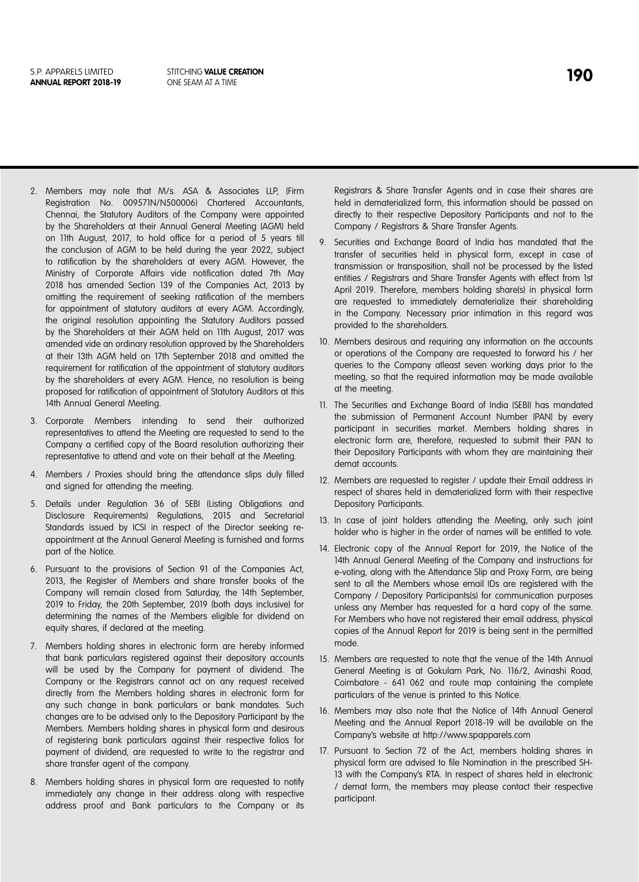- 2. Members may note that M/s. ASA & Associates LLP, (Firm Registration No. 009571N/N500006) Chartered Accountants, Chennai, the Statutory Auditors of the Company were appointed by the Shareholders at their Annual General Meeting (AGM) held on 11th August, 2017, to hold office for a period of 5 years till the conclusion of AGM to be held during the year 2022, subject to ratification by the shareholders at every AGM. However, the Ministry of Corporate Affairs vide notification dated 7th May 2018 has amended Section 139 of the Companies Act, 2013 by omitting the requirement of seeking ratification of the members for appointment of statutory auditors at every AGM. Accordingly, the original resolution appointing the Statutory Auditors passed by the Shareholders at their AGM held on 11th August, 2017 was amended vide an ordinary resolution approved by the Shareholders at their 13th AGM held on 17th September 2018 and omitted the requirement for ratification of the appointment of statutory auditors by the shareholders at every AGM. Hence, no resolution is being proposed for ratification of appointment of Statutory Auditors at this 14th Annual General Meeting.
- 3. Corporate Members intending to send their authorized representatives to attend the Meeting are requested to send to the Company a certified copy of the Board resolution authorizing their representative to attend and vote on their behalf at the Meeting.
- 4. Members / Proxies should bring the attendance slips duly filled and signed for attending the meeting.
- 5. Details under Regulation 36 of SEBI (Listing Obligations and Disclosure Requirements) Regulations, 2015 and Secretarial Standards issued by ICSI in respect of the Director seeking reappointment at the Annual General Meeting is furnished and forms part of the Notice.
- 6. Pursuant to the provisions of Section 91 of the Companies Act, 2013, the Register of Members and share transfer books of the Company will remain closed from Saturday, the 14th September, 2019 to Friday, the 20th September, 2019 (both days inclusive) for determining the names of the Members eligible for dividend on equity shares, if declared at the meeting.
- 7. Members holding shares in electronic form are hereby informed that bank particulars registered against their depository accounts will be used by the Company for payment of dividend. The Company or the Registrars cannot act on any request received directly from the Members holding shares in electronic form for any such change in bank particulars or bank mandates. Such changes are to be advised only to the Depository Participant by the Members. Members holding shares in physical form and desirous of registering bank particulars against their respective folios for payment of dividend, are requested to write to the registrar and share transfer agent of the company.
- 8. Members holding shares in physical form are requested to notify immediately any change in their address along with respective address proof and Bank particulars to the Company or its

Registrars & Share Transfer Agents and in case their shares are held in dematerialized form, this information should be passed on directly to their respective Depository Participants and not to the Company / Registrars & Share Transfer Agents.

- 9. Securities and Exchange Board of India has mandated that the transfer of securities held in physical form, except in case of transmission or transposition, shall not be processed by the listed entities / Registrars and Share Transfer Agents with effect from 1st April 2019. Therefore, members holding share(s) in physical form are requested to immediately dematerialize their shareholding in the Company. Necessary prior intimation in this regard was provided to the shareholders.
- 10. Members desirous and requiring any information on the accounts or operations of the Company are requested to forward his / her queries to the Company atleast seven working days prior to the meeting, so that the required information may be made available at the meeting.
- 11. The Securities and Exchange Board of India (SEBI) has mandated the submission of Permanent Account Number (PAN) by every participant in securities market. Members holding shares in electronic form are, therefore, requested to submit their PAN to their Depository Participants with whom they are maintaining their demat accounts.
- 12. Members are requested to register / update their Email address in respect of shares held in dematerialized form with their respective Depository Participants.
- 13. In case of joint holders attending the Meeting, only such joint holder who is higher in the order of names will be entitled to vote.
- 14. Electronic copy of the Annual Report for 2019, the Notice of the 14th Annual General Meeting of the Company and instructions for e-voting, along with the Attendance Slip and Proxy Form, are being sent to all the Members whose email IDs are registered with the Company / Depository Participants(s) for communication purposes unless any Member has requested for a hard copy of the same. For Members who have not registered their email address, physical copies of the Annual Report for 2019 is being sent in the permitted mode.
- 15. Members are requested to note that the venue of the 14th Annual General Meeting is at Gokulam Park, No. 116/2, Avinashi Road, Coimbatore - 641 062 and route map containing the complete particulars of the venue is printed to this Notice.
- 16. Members may also note that the Notice of 14th Annual General Meeting and the Annual Report 2018-19 will be available on the Company's website at http://www.spapparels.com
- 17. Pursuant to Section 72 of the Act, members holding shares in physical form are advised to file Nomination in the prescribed SH-13 with the Company's RTA. In respect of shares held in electronic / demat form, the members may please contact their respective participant.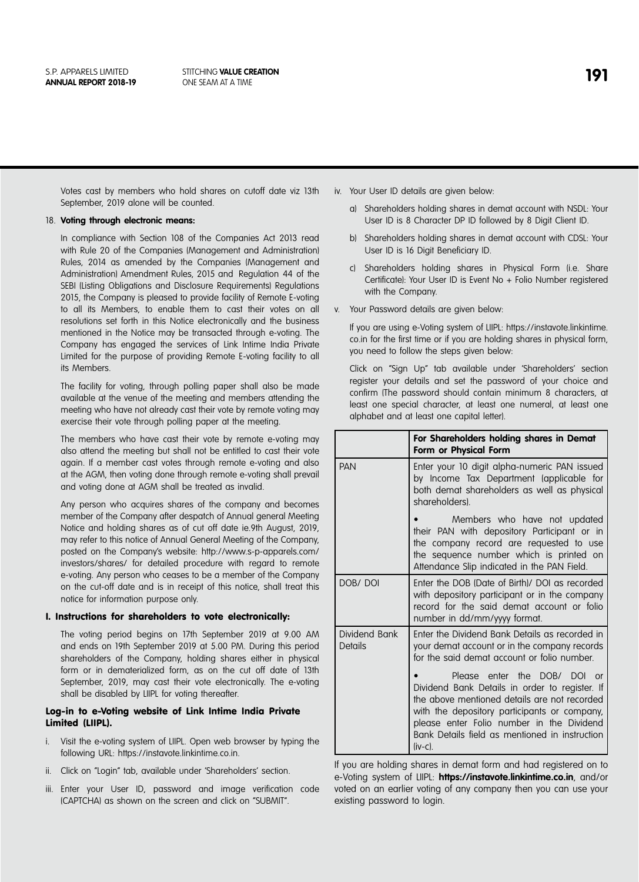Votes cast by members who hold shares on cutoff date viz 13th September, 2019 alone will be counted.

#### 18. **Voting through electronic means:**

In compliance with Section 108 of the Companies Act 2013 read with Rule 20 of the Companies (Management and Administration) Rules, 2014 as amended by the Companies (Management and Administration) Amendment Rules, 2015 and Regulation 44 of the SEBI (Listing Obligations and Disclosure Requirements) Regulations 2015, the Company is pleased to provide facility of Remote E-voting to all its Members, to enable them to cast their votes on all resolutions set forth in this Notice electronically and the business mentioned in the Notice may be transacted through e-voting. The Company has engaged the services of Link Intime India Private Limited for the purpose of providing Remote E-voting facility to all its Members.

The facility for voting, through polling paper shall also be made available at the venue of the meeting and members attending the meeting who have not already cast their vote by remote voting may exercise their vote through polling paper at the meeting.

The members who have cast their vote by remote e-voting may also attend the meeting but shall not be entitled to cast their vote again. If a member cast votes through remote e-voting and also at the AGM, then voting done through remote e-voting shall prevail and voting done at AGM shall be treated as invalid.

Any person who acquires shares of the company and becomes member of the Company after despatch of Annual general Meeting Notice and holding shares as of cut off date ie.9th August, 2019, may refer to this notice of Annual General Meeting of the Company, posted on the Company's website: http://www.s-p-apparels.com/ investors/shares/ for detailed procedure with regard to remote e-voting. Any person who ceases to be a member of the Company on the cut-off date and is in receipt of this notice, shall treat this notice for information purpose only.

#### I. Instructions for shareholders to vote electronically:

The voting period begins on 17th September 2019 at 9.00 AM and ends on 19th September 2019 at 5.00 PM. During this period shareholders of the Company, holding shares either in physical form or in dematerialized form, as on the cut off date of 13th September, 2019, may cast their vote electronically. The e-voting shall be disabled by LIIPL for voting thereafter.

### Log-in to e-Voting website of Link Intime India Private Limited (LIIPL).

- i. Visit the e-voting system of LIIPL. Open web browser by typing the following URL: https://instavote.linkintime.co.in.
- ii. Click on "Login" tab, available under 'Shareholders' section.
- iii. Enter your User ID, password and image verification code (CAPTCHA) as shown on the screen and click on "SUBMIT".

iv. Your User ID details are given below:

- a) Shareholders holding shares in demat account with NSDL: Your User ID is 8 Character DP ID followed by 8 Digit Client ID.
- b) Shareholders holding shares in demat account with CDSL: Your User ID is 16 Digit Beneficiary ID.
- c) Shareholders holding shares in Physical Form (i.e. Share Certificate): Your User ID is Event No + Folio Number registered with the Company.
- v. Your Password details are given below:

If you are using e-Voting system of LIIPL: https://instavote.linkintime. co.in for the first time or if you are holding shares in physical form, you need to follow the steps given below:

Click on "Sign Up" tab available under 'Shareholders' section register your details and set the password of your choice and confirm (The password should contain minimum 8 characters, at least one special character, at least one numeral, at least one alphabet and at least one capital letter).

|                          | For Shareholders holding shares in Demat<br>Form or Physical Form                                                                                                                                                                                                                                              |  |
|--------------------------|----------------------------------------------------------------------------------------------------------------------------------------------------------------------------------------------------------------------------------------------------------------------------------------------------------------|--|
| <b>PAN</b>               | Enter your 10 digit alpha-numeric PAN issued<br>by Income Tax Department (applicable for<br>both demat shareholders as well as physical<br>shareholders).                                                                                                                                                      |  |
|                          | Members who have not updated<br>their PAN with depository Participant or in<br>the company record are requested to use<br>the sequence number which is printed on<br>Attendance Slip indicated in the PAN Field.                                                                                               |  |
| DOB/DOI                  | Enter the DOB (Date of Birth)/ DOI as recorded<br>with depository participant or in the company<br>record for the said demat account or folio<br>number in dd/mm/yyyy format.                                                                                                                                  |  |
| Dividend Bank<br>Details | Enter the Dividend Bank Details as recorded in<br>your demat account or in the company records<br>for the said demat account or folio number.                                                                                                                                                                  |  |
|                          | Please enter the DOB/<br><b>DOI</b><br>$\alpha$<br>Dividend Bank Details in order to register. If<br>the above mentioned details are not recorded<br>with the depository participants or company,<br>please enter Folio number in the Dividend<br>Bank Details field as mentioned in instruction<br>$(iv-c)$ . |  |

If you are holding shares in demat form and had registered on to e-Voting system of LIIPL: **https://instavote.linkintime.co.in**, and/or voted on an earlier voting of any company then you can use your existing password to login.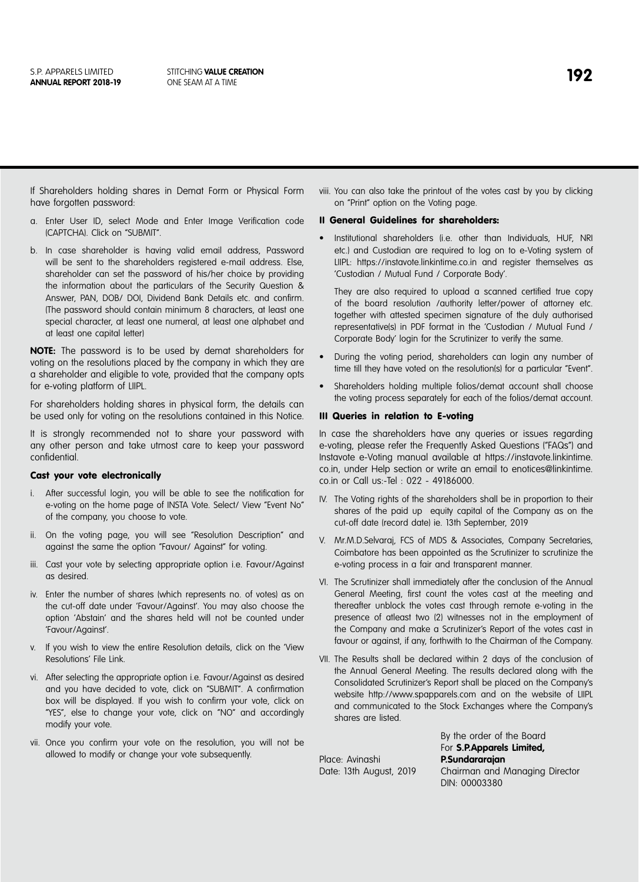If Shareholders holding shares in Demat Form or Physical Form have forgotten password:

- a. Enter User ID, select Mode and Enter Image Verification code (CAPTCHA). Click on "SUBMIT".
- b. In case shareholder is having valid email address, Password will be sent to the shareholders registered e-mail address. Else, shareholder can set the password of his/her choice by providing the information about the particulars of the Security Question & Answer, PAN, DOB/ DOI, Dividend Bank Details etc. and confirm. (The password should contain minimum 8 characters, at least one special character, at least one numeral, at least one alphabet and at least one capital letter)

**NOTE:** The password is to be used by demat shareholders for voting on the resolutions placed by the company in which they are a shareholder and eligible to vote, provided that the company opts for e-voting platform of LIIPL.

For shareholders holding shares in physical form, the details can be used only for voting on the resolutions contained in this Notice.

It is strongly recommended not to share your password with any other person and take utmost care to keep your password confidential.

### Cast your vote electronically

- i. After successful login, you will be able to see the notification for e-voting on the home page of INSTA Vote. Select/ View "Event No" of the company, you choose to vote.
- ii. On the voting page, you will see "Resolution Description" and against the same the option "Favour/ Against" for voting.
- iii. Cast your vote by selecting appropriate option i.e. Favour/Against as desired.
- iv. Enter the number of shares (which represents no. of votes) as on the cut-off date under 'Favour/Against'. You may also choose the option 'Abstain' and the shares held will not be counted under 'Favour/Against'.
- v. If you wish to view the entire Resolution details, click on the 'View Resolutions' File Link.
- vi. After selecting the appropriate option i.e. Favour/Against as desired and you have decided to vote, click on "SUBMIT". A confirmation box will be displayed. If you wish to confirm your vote, click on "YES", else to change your vote, click on "NO" and accordingly modify your vote.
- vii. Once you confirm your vote on the resolution, you will not be allowed to modify or change your vote subsequently.

viii. You can also take the printout of the votes cast by you by clicking on "Print" option on the Voting page.

#### II General Guidelines for shareholders:

• Institutional shareholders (i.e. other than Individuals, HUF, NRI etc.) and Custodian are required to log on to e-Voting system of LIIPL: https://instavote.linkintime.co.in and register themselves as 'Custodian / Mutual Fund / Corporate Body'.

They are also required to upload a scanned certified true copy of the board resolution /authority letter/power of attorney etc. together with attested specimen signature of the duly authorised representative(s) in PDF format in the 'Custodian / Mutual Fund / Corporate Body' login for the Scrutinizer to verify the same.

- During the voting period, shareholders can login any number of time till they have voted on the resolution(s) for a particular "Event".
- Shareholders holding multiple folios/demat account shall choose the voting process separately for each of the folios/demat account.

#### III Queries in relation to E-voting

In case the shareholders have any queries or issues regarding e-voting, please refer the Frequently Asked Questions ("FAQs") and Instavote e-Voting manual available at https://instavote.linkintime. co.in, under Help section or write an email to enotices@linkintime. co.in or Call us:-Tel : 022 - 49186000.

- IV. The Voting rights of the shareholders shall be in proportion to their shares of the paid up equity capital of the Company as on the cut-off date (record date) ie. 13th September, 2019
- V. Mr.M.D.Selvaraj, FCS of MDS & Associates, Company Secretaries, Coimbatore has been appointed as the Scrutinizer to scrutinize the e-voting process in a fair and transparent manner.
- VI. The Scrutinizer shall immediately after the conclusion of the Annual General Meeting, first count the votes cast at the meeting and thereafter unblock the votes cast through remote e-voting in the presence of atleast two (2) witnesses not in the employment of the Company and make a Scrutinizer's Report of the votes cast in favour or against, if any, forthwith to the Chairman of the Company.
- VII. The Results shall be declared within 2 days of the conclusion of the Annual General Meeting. The results declared along with the Consolidated Scrutinizer's Report shall be placed on the Company's website http://www.spapparels.com and on the website of LIIPL and communicated to the Stock Exchanges where the Company's shares are listed.

Place: Avinashi **P.Sundararajan**

For **S.P.Apparels Limited,**  Date: 13th August, 2019 Chairman and Managing Director DIN: 00003380

By the order of the Board